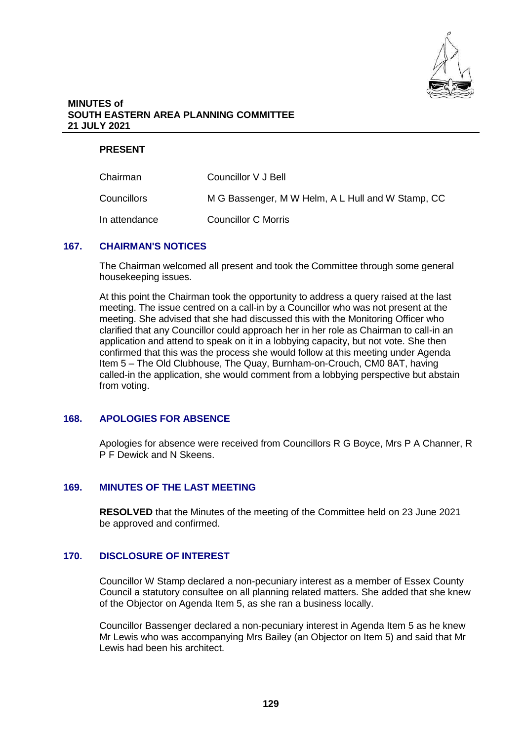

#### **MINUTES of SOUTH EASTERN AREA PLANNING COMMITTEE 21 JULY 2021**

### **PRESENT**

| Chairman      | Councillor V J Bell                               |
|---------------|---------------------------------------------------|
| Councillors   | M G Bassenger, M W Helm, A L Hull and W Stamp, CC |
| In attendance | Councillor C Morris                               |

#### **167. CHAIRMAN'S NOTICES**

The Chairman welcomed all present and took the Committee through some general housekeeping issues.

At this point the Chairman took the opportunity to address a query raised at the last meeting. The issue centred on a call-in by a Councillor who was not present at the meeting. She advised that she had discussed this with the Monitoring Officer who clarified that any Councillor could approach her in her role as Chairman to call-in an application and attend to speak on it in a lobbying capacity, but not vote. She then confirmed that this was the process she would follow at this meeting under Agenda Item 5 – The Old Clubhouse, The Quay, Burnham-on-Crouch, CM0 8AT, having called-in the application, she would comment from a lobbying perspective but abstain from voting.

# **168. APOLOGIES FOR ABSENCE**

Apologies for absence were received from Councillors R G Boyce, Mrs P A Channer, R P F Dewick and N Skeens.

## **169. MINUTES OF THE LAST MEETING**

**RESOLVED** that the Minutes of the meeting of the Committee held on 23 June 2021 be approved and confirmed.

# **170. DISCLOSURE OF INTEREST**

Councillor W Stamp declared a non-pecuniary interest as a member of Essex County Council a statutory consultee on all planning related matters. She added that she knew of the Objector on Agenda Item 5, as she ran a business locally.

Councillor Bassenger declared a non-pecuniary interest in Agenda Item 5 as he knew Mr Lewis who was accompanying Mrs Bailey (an Objector on Item 5) and said that Mr Lewis had been his architect.